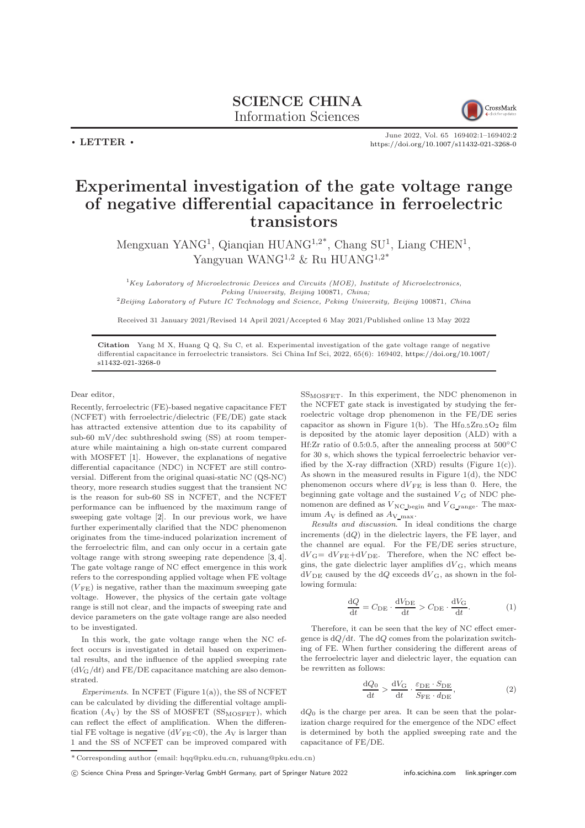

June 2022, Vol. 65 169402:1–169402[:2](#page-1-0) <https://doi.org/10.1007/s11432-021-3268-0>

## Experimental investigation of the gate voltage range of negative differential capacitance in ferroelectric transistors

Mengxuan YANG<sup>1</sup>, Qianqian HUANG<sup>1,2\*</sup>, Chang SU<sup>1</sup>, Liang CHEN<sup>1</sup>, Yangyuan WANG<sup>1,2</sup> & Ru HUANG<sup>1,2\*</sup>

 ${}^{1}$ Key Laboratory of Microelectronic Devices and Circuits (MOE), Institute of Microelectronics, Peking University, Beijing 100871, China;

<sup>2</sup>Beijing Laboratory of Future IC Technology and Science, Peking University, Beijing 100871, China

Received 31 January 2021/Revised 14 April 2021/Accepted 6 May 2021/Published online 13 May 2022

Citation Yang M X, Huang Q Q, Su C, et al. Experimental investigation of the gate voltage range of negative differential capacitance in ferroelectric transistors. Sci China Inf Sci, 2022, 65(6): 169402, [https://doi.org/10.1007/](https://doi.org/10.1007/s11432-021-3268-0) [s11432-021-3268-0](https://doi.org/10.1007/s11432-021-3268-0)

Dear editor,

 $\cdot$  LETTER  $\cdot$ 

Recently, ferroelectric (FE)-based negative capacitance FET (NCFET) with ferroelectric/dielectric (FE/DE) gate stack has attracted extensive attention due to its capability of sub-60 mV/dec subthreshold swing (SS) at room temperature while maintaining a high on-state current compared with MOSFET [\[1\]](#page-1-1). However, the explanations of negative differential capacitance (NDC) in NCFET are still controversial. Different from the original quasi-static NC (QS-NC) theory, more research studies suggest that the transient NC is the reason for sub-60 SS in NCFET, and the NCFET performance can be influenced by the maximum range of sweeping gate voltage [\[2\]](#page-1-2). In our previous work, we have further experimentally clarified that the NDC phenomenon originates from the time-induced polarization increment of the ferroelectric film, and can only occur in a certain gate voltage range with strong sweeping rate dependence [\[3,](#page-1-3) [4\]](#page-1-4). The gate voltage range of NC effect emergence in this work refers to the corresponding applied voltage when FE voltage  $(V_{\text{FE}})$  is negative, rather than the maximum sweeping gate voltage. However, the physics of the certain gate voltage range is still not clear, and the impacts of sweeping rate and device parameters on the gate voltage range are also needed to be investigated.

In this work, the gate voltage range when the NC effect occurs is investigated in detail based on experimental results, and the influence of the applied sweeping rate  $(dV_G/dt)$  and FE/DE capacitance matching are also demonstrated.

Experiments. In NCFET (Figure  $1(a)$ ), the SS of NCFET can be calculated by dividing the differential voltage amplification  $(A_V)$  by the SS of MOSFET (SS<sub>MOSFET</sub>), which can reflect the effect of amplification. When the differential FE voltage is negative  $(dV_{FE}<0)$ , the  $A_V$  is larger than 1 and the SS of NCFET can be improved compared with  $SS<sub>MOSFET</sub>$ . In this experiment, the NDC phenomenon in the NCFET gate stack is investigated by studying the ferroelectric voltage drop phenomenon in the FE/DE series capacitor as shown in Figure 1(b). The  $Hf_{0.5}Zr_{0.5}O_2$  film is deposited by the atomic layer deposition (ALD) with a Hf:Zr ratio of 0.5:0.5, after the annealing process at 500◦C for 30 s, which shows the typical ferroelectric behavior verified by the X-ray diffraction  $(XRD)$  results (Figure 1(c)). As shown in the measured results in Figure 1(d), the NDC phenomenon occurs where  $dV_{FE}$  is less than 0. Here, the beginning gate voltage and the sustained  $V_G$  of NDC phenomenon are defined as  $\boldsymbol{V}_{\text{NC\_begin}}$  and  $\boldsymbol{V}_{\text{G\_range}}.$  The maximum  $A_V$  is defined as  $A_V$ <sub>max</sub>.

Results and discussion. In ideal conditions the charge increments  $(dQ)$  in the dielectric layers, the FE layer, and the channel are equal. For the FE/DE series structure,  $dV_{\rm G}=dV_{\rm FE}+dV_{\rm DE}$ . Therefore, when the NC effect begins, the gate dielectric layer amplifies  $dV_{\text{G}}$ , which means  $dV_{\text{DE}}$  caused by the  $dQ$  exceeds  $dV_{\text{G}}$ , as shown in the following formula:

$$
\frac{dQ}{dt} = C_{DE} \cdot \frac{dV_{DE}}{dt} > C_{DE} \cdot \frac{dV_{G}}{dt}.
$$
 (1)

Therefore, it can be seen that the key of NC effect emergence is  $dQ/dt$ . The  $dQ$  comes from the polarization switching of FE. When further considering the different areas of the ferroelectric layer and dielectric layer, the equation can be rewritten as follows:

$$
\frac{\mathrm{d}Q_0}{\mathrm{d}t} > \frac{\mathrm{d}V_{\mathrm{G}}}{\mathrm{d}t} \cdot \frac{\varepsilon_{\mathrm{DE}} \cdot S_{\mathrm{DE}}}{S_{\mathrm{FE}} \cdot d_{\mathrm{DE}}},\tag{2}
$$

 $dQ_0$  is the charge per area. It can be seen that the polarization charge required for the emergence of the NDC effect is determined by both the applied sweeping rate and the capacitance of FE/DE.

c Science China Press and Springer-Verlag GmbH Germany, part of Springer Nature 2022 <info.scichina.com><link.springer.com>

<sup>\*</sup> Corresponding author (email: hqq@pku.edu.cn, ruhuang@pku.edu.cn)